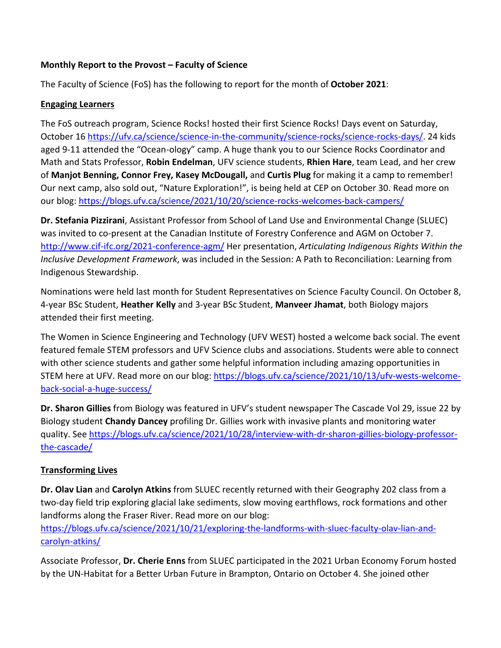## **Monthly Report to the Provost – Faculty of Science**

The Faculty of Science (FoS) has the following to report for the month of **October 2021**:

#### **Engaging Learners**

The FoS outreach program, Science Rocks! hosted their first Science Rocks! Days event on Saturday, October 16 https://ufv.ca/science/science-in-the-community/science-rocks/science-rocks-days/. 24 kids aged 9-11 attended the "Ocean-ology" camp. A huge thank you to our Science Rocks Coordinator and Math and Stats Professor, **Robin Endelman**, UFV science students, **Rhien Hare**, team Lead, and her crew of **Manjot Benning, Connor Frey, Kasey McDougall,** and **Curtis Plug** for making it a camp to remember! Our next camp, also sold out, "Nature Exploration!", is being held at CEP on October 30. Read more on our blog: https://blogs.ufv.ca/science/2021/10/20/science-rocks-welcomes-back-campers/

**Dr. Stefania Pizzirani**, Assistant Professor from School of Land Use and Environmental Change (SLUEC) was invited to co-present at the Canadian Institute of Forestry Conference and AGM on October 7. http://www.cif-ifc.org/2021-conference-agm/ Her presentation, *Articulating Indigenous Rights Within the Inclusive Development Framework*, was included in the Session: A Path to Reconciliation: Learning from Indigenous Stewardship.

Nominations were held last month for Student Representatives on Science Faculty Council. On October 8, 4-year BSc Student, **Heather Kelly** and 3-year BSc Student, **Manveer Jhamat**, both Biology majors attended their first meeting.

The Women in Science Engineering and Technology (UFV WEST) hosted a welcome back social. The event featured female STEM professors and UFV Science clubs and associations. Students were able to connect with other science students and gather some helpful information including amazing opportunities in STEM here at UFV. Read more on our blog: https://blogs.ufv.ca/science/2021/10/13/ufv-wests-welcomeback-social-a-huge-success/

**Dr. Sharon Gillies** from Biology was featured in UFV's student newspaper The Cascade Vol 29, issue 22 by Biology student **Chandy Dancey** profiling Dr. Gillies work with invasive plants and monitoring water quality. See https://blogs.ufv.ca/science/2021/10/28/interview-with-dr-sharon-gillies-biology-professorthe-cascade/

## **Transforming Lives**

**Dr. Olav Lian** and **Carolyn Atkins** from SLUEC recently returned with their Geography 202 class from a two-day field trip exploring glacial lake sediments, slow moving earthflows, rock formations and other landforms along the Fraser River. Read more on our blog: https://blogs.ufv.ca/science/2021/10/21/exploring-the-landforms-with-sluec-faculty-olav-lian-and-

carolyn-atkins/

Associate Professor, **Dr. Cherie Enns** from SLUEC participated in the 2021 Urban Economy Forum hosted by the UN-Habitat for a Better Urban Future in Brampton, Ontario on October 4. She joined other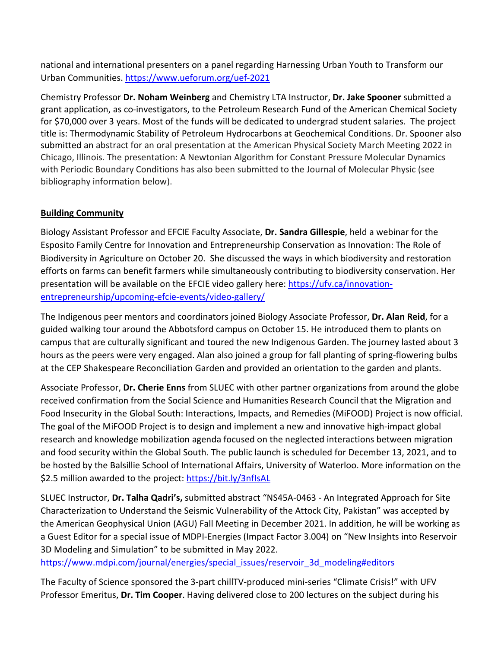national and international presenters on a panel regarding Harnessing Urban Youth to Transform our Urban Communities. https://www.ueforum.org/uef-2021

Chemistry Professor **Dr. Noham Weinberg** and Chemistry LTA Instructor, **Dr. Jake Spooner** submitted a grant application, as co-investigators, to the Petroleum Research Fund of the American Chemical Society for \$70,000 over 3 years. Most of the funds will be dedicated to undergrad student salaries. The project title is: Thermodynamic Stability of Petroleum Hydrocarbons at Geochemical Conditions. Dr. Spooner also submitted an abstract for an oral presentation at the American Physical Society March Meeting 2022 in Chicago, Illinois. The presentation: A Newtonian Algorithm for Constant Pressure Molecular Dynamics with Periodic Boundary Conditions has also been submitted to the Journal of Molecular Physic (see bibliography information below).

# **Building Community**

Biology Assistant Professor and EFCIE Faculty Associate, **Dr. Sandra Gillespie**, held a webinar for the Esposito Family Centre for Innovation and Entrepreneurship Conservation as Innovation: The Role of Biodiversity in Agriculture on October 20. She discussed the ways in which biodiversity and restoration efforts on farms can benefit farmers while simultaneously contributing to biodiversity conservation. Her presentation will be available on the EFCIE video gallery here: https://ufv.ca/innovationentrepreneurship/upcoming-efcie-events/video-gallery/

The Indigenous peer mentors and coordinators joined Biology Associate Professor, **Dr. Alan Reid**, for a guided walking tour around the Abbotsford campus on October 15. He introduced them to plants on campus that are culturally significant and toured the new Indigenous Garden. The journey lasted about 3 hours as the peers were very engaged. Alan also joined a group for fall planting of spring-flowering bulbs at the CEP Shakespeare Reconciliation Garden and provided an orientation to the garden and plants.

Associate Professor, **Dr. Cherie Enns** from SLUEC with other partner organizations from around the globe received confirmation from the Social Science and Humanities Research Council that the Migration and Food Insecurity in the Global South: Interactions, Impacts, and Remedies (MiFOOD) Project is now official. The goal of the MiFOOD Project is to design and implement a new and innovative high-impact global research and knowledge mobilization agenda focused on the neglected interactions between migration and food security within the Global South. The public launch is scheduled for December 13, 2021, and to be hosted by the Balsillie School of International Affairs, University of Waterloo. More information on the \$2.5 million awarded to the project: https://bit.ly/3nfIsAL

SLUEC Instructor, **Dr. Talha Qadri's,** submitted abstract "NS45A-0463 - An Integrated Approach for Site Characterization to Understand the Seismic Vulnerability of the Attock City, Pakistan" was accepted by the American Geophysical Union (AGU) Fall Meeting in December 2021. In addition, he will be working as a Guest Editor for a special issue of MDPI-Energies (Impact Factor 3.004) on "New Insights into Reservoir 3D Modeling and Simulation" to be submitted in May 2022.

https://www.mdpi.com/journal/energies/special\_issues/reservoir\_3d\_modeling#editors

The Faculty of Science sponsored the 3-part chillTV-produced mini-series "Climate Crisis!" with UFV Professor Emeritus, **Dr. Tim Cooper**. Having delivered close to 200 lectures on the subject during his